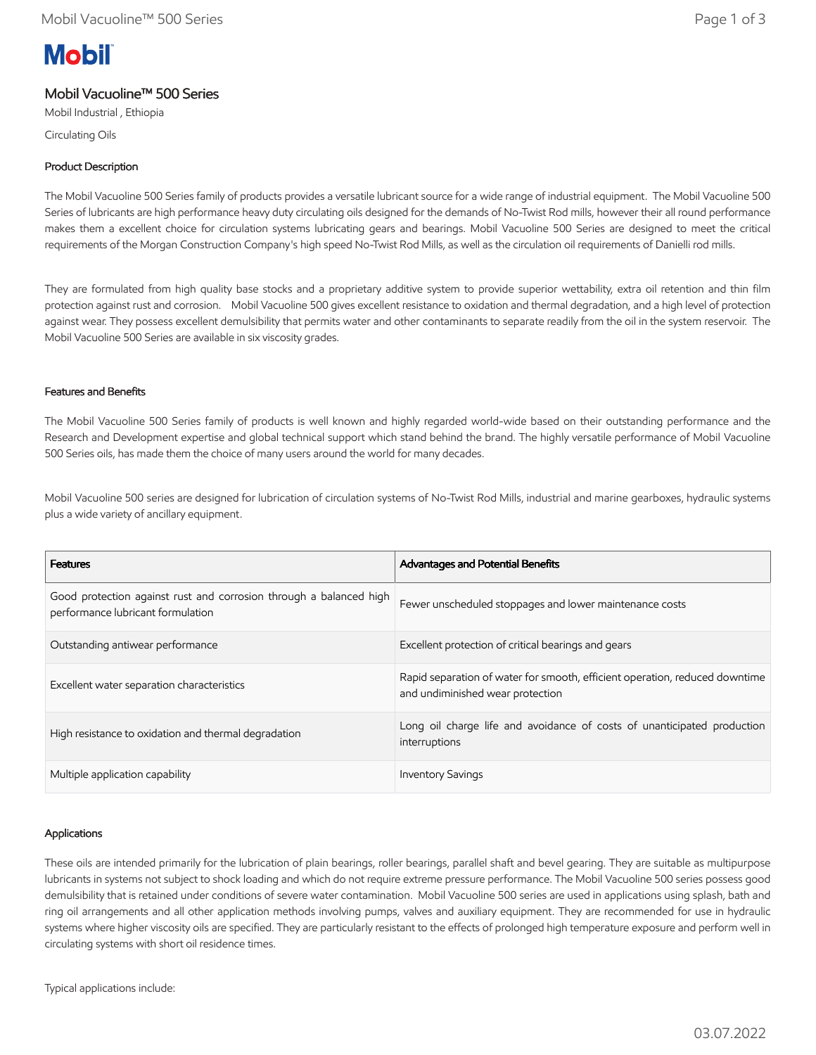# **Mobil**

### Mobil Vacuoline™ 500 Series

Mobil Industrial , Ethiopia

Circulating Oils

#### Product Description

The Mobil Vacuoline 500 Series family of products provides a versatile lubricant source for a wide range of industrial equipment. The Mobil Vacuoline 500 Series of lubricants are high performance heavy duty circulating oils designed for the demands of No-Twist Rod mills, however their all round performance makes them a excellent choice for circulation systems lubricating gears and bearings. Mobil Vacuoline 500 Series are designed to meet the critical requirements of the Morgan Construction Company's high speed No-Twist Rod Mills, as well as the circulation oil requirements of Danielli rod mills.

They are formulated from high quality base stocks and a proprietary additive system to provide superior wettability, extra oil retention and thin film protection against rust and corrosion. Mobil Vacuoline 500 gives excellent resistance to oxidation and thermal degradation, and a high level of protection against wear. They possess excellent demulsibility that permits water and other contaminants to separate readily from the oil in the system reservoir. The Mobil Vacuoline 500 Series are available in six viscosity grades.

#### Features and Benefits

The Mobil Vacuoline 500 Series family of products is well known and highly regarded world-wide based on their outstanding performance and the Research and Development expertise and global technical support which stand behind the brand. The highly versatile performance of Mobil Vacuoline 500 Series oils, has made them the choice of many users around the world for many decades.

Mobil Vacuoline 500 series are designed for lubrication of circulation systems of No-Twist Rod Mills, industrial and marine gearboxes, hydraulic systems plus a wide variety of ancillary equipment.

| <b>Features</b>                                                                                         | <b>Advantages and Potential Benefits</b>                                                                        |
|---------------------------------------------------------------------------------------------------------|-----------------------------------------------------------------------------------------------------------------|
| Good protection against rust and corrosion through a balanced high<br>performance lubricant formulation | Fewer unscheduled stoppages and lower maintenance costs                                                         |
| Outstanding antiwear performance                                                                        | Excellent protection of critical bearings and gears                                                             |
| Excellent water separation characteristics                                                              | Rapid separation of water for smooth, efficient operation, reduced downtime<br>and undiminished wear protection |
| High resistance to oxidation and thermal degradation                                                    | Long oil charge life and avoidance of costs of unanticipated production<br>interruptions                        |
| Multiple application capability                                                                         | <b>Inventory Savings</b>                                                                                        |

#### Applications

These oils are intended primarily for the lubrication of plain bearings, roller bearings, parallel shaft and bevel gearing. They are suitable as multipurpose lubricants in systems not subject to shock loading and which do not require extreme pressure performance. The Mobil Vacuoline 500 series possess good demulsibility that is retained under conditions of severe water contamination. Mobil Vacuoline 500 series are used in applications using splash, bath and ring oil arrangements and all other application methods involving pumps, valves and auxiliary equipment. They are recommended for use in hydraulic systems where higher viscosity oils are specified. They are particularly resistant to the effects of prolonged high temperature exposure and perform well in circulating systems with short oil residence times.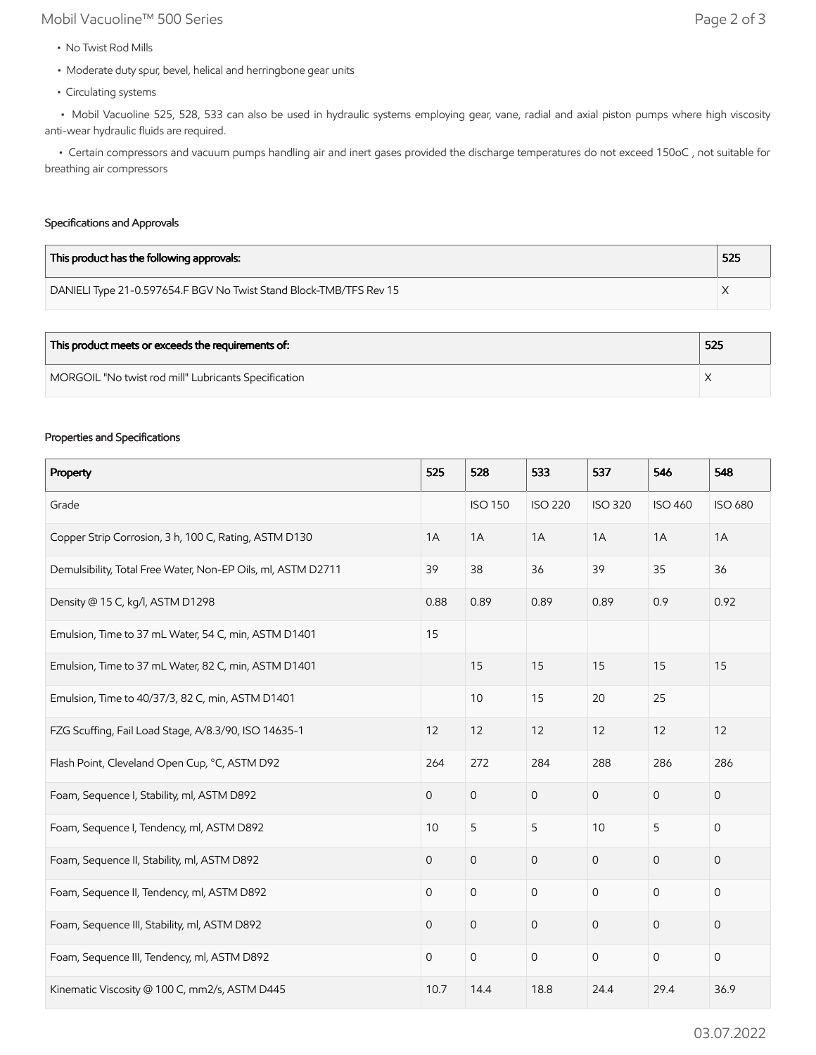## Mobil Vacuoline™ 500 Series Page 2 of 3

- No Twist Rod Mills
- Moderate duty spur, bevel, helical and herringbone gear units
- Circulating systems

 • Mobil Vacuoline 525, 528, 533 can also be used in hydraulic systems employing gear, vane, radial and axial piston pumps where high viscosity anti-wear hydraulic fluids are required.

 • Certain compressors and vacuum pumps handling air and inert gases provided the discharge temperatures do not exceed 150oC , not suitable for breathing air compressors

#### Specifications and Approvals

| This product has the following approvals:                          | 525 |
|--------------------------------------------------------------------|-----|
| DANIELI Type 21-0.597654.F BGV No Twist Stand Block-TMB/TFS Rev 15 |     |

| This product meets or exceeds the requirements of:   | 525 |
|------------------------------------------------------|-----|
| MORGOIL "No twist rod mill" Lubricants Specification |     |

#### Properties and Specifications

| Property                                                     | 525            | 528                 | 533                 | 537            | 546            | 548            |
|--------------------------------------------------------------|----------------|---------------------|---------------------|----------------|----------------|----------------|
| Grade                                                        |                | <b>ISO 150</b>      | <b>ISO 220</b>      | <b>ISO 320</b> | <b>ISO 460</b> | <b>ISO 680</b> |
| Copper Strip Corrosion, 3 h, 100 C, Rating, ASTM D130        | 1A             | 1A                  | 1A                  | 1A             | 1A             | 1A             |
| Demulsibility, Total Free Water, Non-EP Oils, ml, ASTM D2711 | 39             | 38                  | 36                  | 39             | 35             | 36             |
| Density @ 15 C, kg/l, ASTM D1298                             | 0.88           | 0.89                | 0.89                | 0.89           | 0.9            | 0.92           |
| Emulsion, Time to 37 mL Water, 54 C, min, ASTM D1401         | 15             |                     |                     |                |                |                |
| Emulsion, Time to 37 mL Water, 82 C, min, ASTM D1401         |                | 15                  | 15                  | 15             | 15             | 15             |
| Emulsion, Time to 40/37/3, 82 C, min, ASTM D1401             |                | 10                  | 15                  | 20             | 25             |                |
| FZG Scuffing, Fail Load Stage, A/8.3/90, ISO 14635-1         | 12             | 12                  | 12                  | 12             | 12             | 12             |
| Flash Point, Cleveland Open Cup, °C, ASTM D92                | 264            | 272                 | 284                 | 288            | 286            | 286            |
| Foam, Sequence I, Stability, ml, ASTM D892                   | $\overline{0}$ | $\mathsf{O}\xspace$ | $\mathsf O$         | $\mathbf 0$    | $\mathbf{0}$   | 0              |
| Foam, Sequence I, Tendency, ml, ASTM D892                    | 10             | 5                   | 5                   | 10             | 5              | $\mathsf{O}$   |
| Foam, Sequence II, Stability, ml, ASTM D892                  | $\overline{0}$ | $\mathsf{O}\xspace$ | $\mathsf O$         | $\overline{0}$ | $\mathbf{O}$   | 0              |
| Foam, Sequence II, Tendency, ml, ASTM D892                   | 0              | $\mathbf 0$         | $\mathbf 0$         | $\mathbf 0$    | $\mathbf{0}$   | 0              |
| Foam, Sequence III, Stability, ml, ASTM D892                 | 0              | $\mathsf{O}\xspace$ | $\mathsf{O}$        | $\mathbf{O}$   | $\mathbf 0$    | 0              |
| Foam, Sequence III, Tendency, ml, ASTM D892                  | $\mathbf 0$    | $\mathsf{O}\xspace$ | $\mathsf{O}\xspace$ | $\mathbf 0$    | $\mathsf{O}$   | $\mathsf{O}$   |
| Kinematic Viscosity @ 100 C, mm2/s, ASTM D445                | 10.7           | 14.4                | 18.8                | 24.4           | 29.4           | 36.9           |